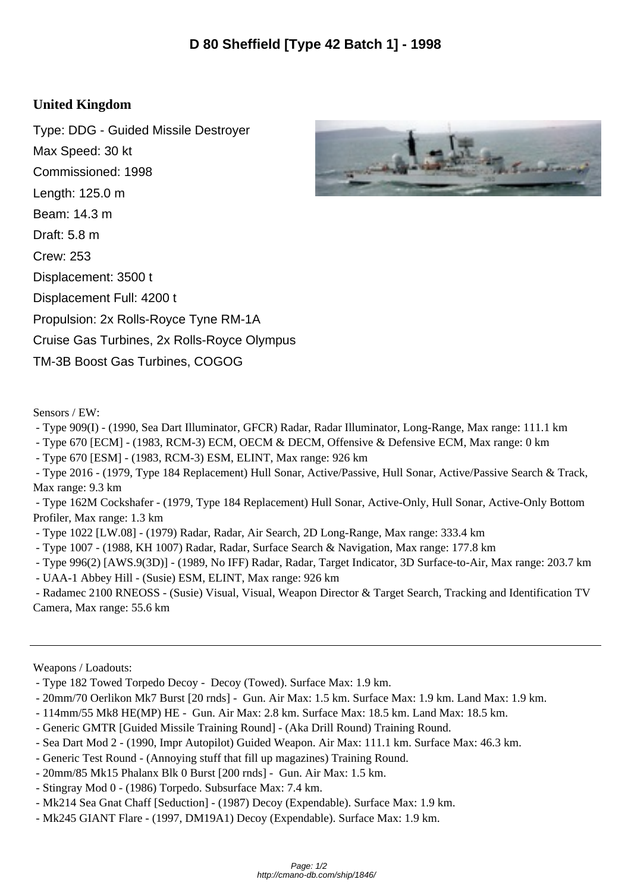## **United Kingdom**

Type: DDG - Guided Missile Destroyer Max Speed: 30 kt Commissioned: 1998 Length: 125.0 m Beam: 14.3 m Draft: 5.8 m Crew: 253 Displacement: 3500 t Displacement Full: 4200 t Propulsion: 2x Rolls-Royce Tyne RM-1A Cruise Gas Turbines, 2x Rolls-Royce Olympus TM-3B Boost Gas Turbines, COGOG



- Type 909(I) (1990, Sea Dart Illuminator, GFCR) Radar, Radar Illuminator, Long-Range, Max range: 111.1 km
- Type 670 [ECM] (1983, RCM-3) ECM, OECM & DECM, Offensive & Defensive ECM, Max range: 0 km
- Type 670 [ESM] (1983, RCM-3) ESM, ELINT, Max range: 926 km

 - Type 2016 - (1979, Type 184 Replacement) Hull Sonar, Active/Passive, Hull Sonar, Active/Passive Search & Track, Max range: 9.3 km

 - Type 162M Cockshafer - (1979, Type 184 Replacement) Hull Sonar, Active-Only, Hull Sonar, Active-Only Bottom Profiler, Max range: 1.3 km

- Type 1022 [LW.08] (1979) Radar, Radar, Air Search, 2D Long-Range, Max range: 333.4 km
- Type 1007 (1988, KH 1007) Radar, Radar, Surface Search & Navigation, Max range: 177.8 km
- Type 996(2) [AWS.9(3D)] (1989, No IFF) Radar, Radar, Target Indicator, 3D Surface-to-Air, Max range: 203.7 km
- UAA-1 Abbey Hill (Susie) ESM, ELINT, Max range: 926 km

 - Radamec 2100 RNEOSS - (Susie) Visual, Visual, Weapon Director & Target Search, Tracking and Identification TV Camera, Max range: 55.6 km

Weapons / Loadouts:

- Type 182 Towed Torpedo Decoy Decoy (Towed). Surface Max: 1.9 km.
- 20mm/70 Oerlikon Mk7 Burst [20 rnds] Gun. Air Max: 1.5 km. Surface Max: 1.9 km. Land Max: 1.9 km.
- 114mm/55 Mk8 HE(MP) HE Gun. Air Max: 2.8 km. Surface Max: 18.5 km. Land Max: 18.5 km.
- Generic GMTR [Guided Missile Training Round] (Aka Drill Round) Training Round.
- Sea Dart Mod 2 (1990, Impr Autopilot) Guided Weapon. Air Max: 111.1 km. Surface Max: 46.3 km.
- Generic Test Round (Annoying stuff that fill up magazines) Training Round.
- 20mm/85 Mk15 Phalanx Blk 0 Burst [200 rnds] Gun. Air Max: 1.5 km.
- Stingray Mod 0 (1986) Torpedo. Subsurface Max: 7.4 km.
- Mk214 Sea Gnat Chaff [Seduction] (1987) Decoy (Expendable). Surface Max: 1.9 km.
- Mk245 GIANT Flare (1997, DM19A1) Decoy (Expendable). Surface Max: 1.9 km.